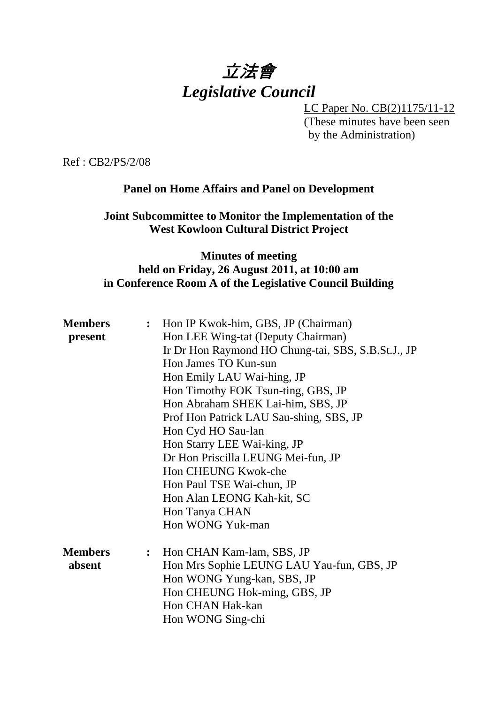# 立法會 *Legislative Council*

LC Paper No. CB(2)1175/11-12 (These minutes have been seen by the Administration)

Ref : CB2/PS/2/08

#### **Panel on Home Affairs and Panel on Development**

**Joint Subcommittee to Monitor the Implementation of the West Kowloon Cultural District Project** 

#### **Minutes of meeting held on Friday, 26 August 2011, at 10:00 am in Conference Room A of the Legislative Council Building**

| <b>Members</b> | $\ddot{\cdot}$ | Hon IP Kwok-him, GBS, JP (Chairman)                |
|----------------|----------------|----------------------------------------------------|
| present        |                | Hon LEE Wing-tat (Deputy Chairman)                 |
|                |                | Ir Dr Hon Raymond HO Chung-tai, SBS, S.B.St.J., JP |
|                |                | Hon James TO Kun-sun                               |
|                |                | Hon Emily LAU Wai-hing, JP                         |
|                |                | Hon Timothy FOK Tsun-ting, GBS, JP                 |
|                |                | Hon Abraham SHEK Lai-him, SBS, JP                  |
|                |                | Prof Hon Patrick LAU Sau-shing, SBS, JP            |
|                |                | Hon Cyd HO Sau-lan                                 |
|                |                | Hon Starry LEE Wai-king, JP                        |
|                |                | Dr Hon Priscilla LEUNG Mei-fun, JP                 |
|                |                | Hon CHEUNG Kwok-che                                |
|                |                | Hon Paul TSE Wai-chun, JP                          |
|                |                | Hon Alan LEONG Kah-kit, SC                         |
|                |                | Hon Tanya CHAN                                     |
|                |                | Hon WONG Yuk-man                                   |
| <b>Members</b> |                | : Hon CHAN Kam-lam, SBS, JP                        |
| absent         |                | Hon Mrs Sophie LEUNG LAU Yau-fun, GBS, JP          |
|                |                | Hon WONG Yung-kan, SBS, JP                         |
|                |                | Hon CHEUNG Hok-ming, GBS, JP                       |
|                |                | Hon CHAN Hak-kan                                   |
|                |                | Hon WONG Sing-chi                                  |
|                |                |                                                    |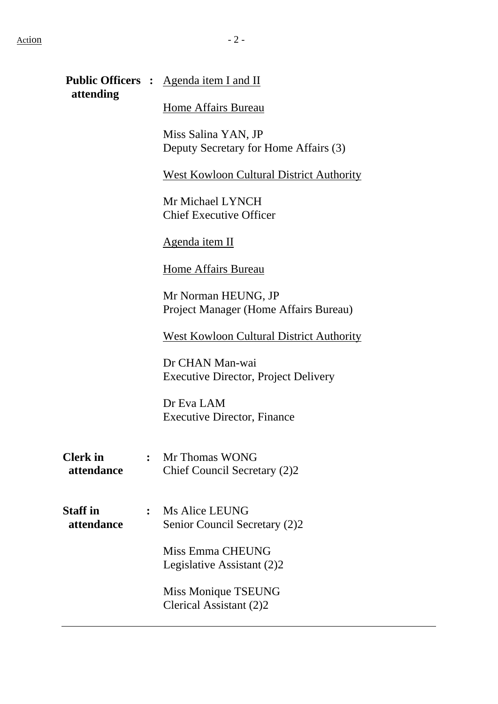| attending                     |                | Public Officers : Agenda item I and II                         |
|-------------------------------|----------------|----------------------------------------------------------------|
|                               |                | Home Affairs Bureau                                            |
|                               |                | Miss Salina YAN, JP<br>Deputy Secretary for Home Affairs (3)   |
|                               |                | <b>West Kowloon Cultural District Authority</b>                |
|                               |                | Mr Michael LYNCH<br><b>Chief Executive Officer</b>             |
|                               |                | Agenda item II                                                 |
|                               |                | Home Affairs Bureau                                            |
|                               |                | Mr Norman HEUNG, JP<br>Project Manager (Home Affairs Bureau)   |
|                               |                | West Kowloon Cultural District Authority                       |
|                               |                | Dr CHAN Man-wai<br><b>Executive Director, Project Delivery</b> |
|                               |                | Dr Eva LAM<br><b>Executive Director, Finance</b>               |
| <b>Clerk</b> in<br>attendance |                | : Mr Thomas WONG<br>Chief Council Secretary (2)2               |
| <b>Staff</b> in<br>attendance | $\ddot{\cdot}$ | Ms Alice LEUNG<br>Senior Council Secretary (2)2                |
|                               |                | Miss Emma CHEUNG<br>Legislative Assistant (2)2                 |

Miss Monique TSEUNG Clerical Assistant (2)2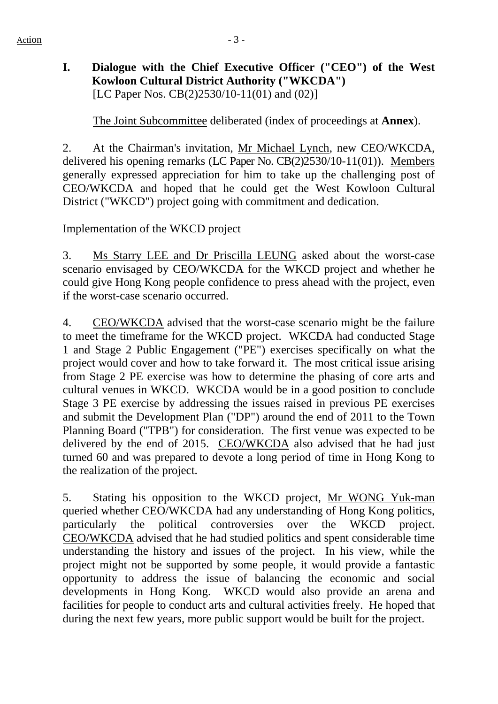# **I. Dialogue with the Chief Executive Officer ("CEO") of the West Kowloon Cultural District Authority ("WKCDA")**  [LC Paper Nos. CB(2)2530/10-11(01) and (02)]

1. The Joint Subcommittee deliberated (index of proceedings at **Annex**).

2. At the Chairman's invitation, Mr Michael Lynch, new CEO/WKCDA, delivered his opening remarks (LC Paper No. CB(2)2530/10-11(01)). Members generally expressed appreciation for him to take up the challenging post of CEO/WKCDA and hoped that he could get the West Kowloon Cultural District ("WKCD") project going with commitment and dedication.

#### Implementation of the WKCD project

3. Ms Starry LEE and Dr Priscilla LEUNG asked about the worst-case scenario envisaged by CEO/WKCDA for the WKCD project and whether he could give Hong Kong people confidence to press ahead with the project, even if the worst-case scenario occurred.

4. CEO/WKCDA advised that the worst-case scenario might be the failure to meet the timeframe for the WKCD project. WKCDA had conducted Stage 1 and Stage 2 Public Engagement ("PE") exercises specifically on what the project would cover and how to take forward it. The most critical issue arising from Stage 2 PE exercise was how to determine the phasing of core arts and cultural venues in WKCD. WKCDA would be in a good position to conclude Stage 3 PE exercise by addressing the issues raised in previous PE exercises and submit the Development Plan ("DP") around the end of 2011 to the Town Planning Board ("TPB") for consideration. The first venue was expected to be delivered by the end of 2015. CEO/WKCDA also advised that he had just turned 60 and was prepared to devote a long period of time in Hong Kong to the realization of the project.

5. Stating his opposition to the WKCD project, Mr WONG Yuk-man queried whether CEO/WKCDA had any understanding of Hong Kong politics, particularly the political controversies over the WKCD project. CEO/WKCDA advised that he had studied politics and spent considerable time understanding the history and issues of the project. In his view, while the project might not be supported by some people, it would provide a fantastic opportunity to address the issue of balancing the economic and social developments in Hong Kong. WKCD would also provide an arena and facilities for people to conduct arts and cultural activities freely. He hoped that during the next few years, more public support would be built for the project.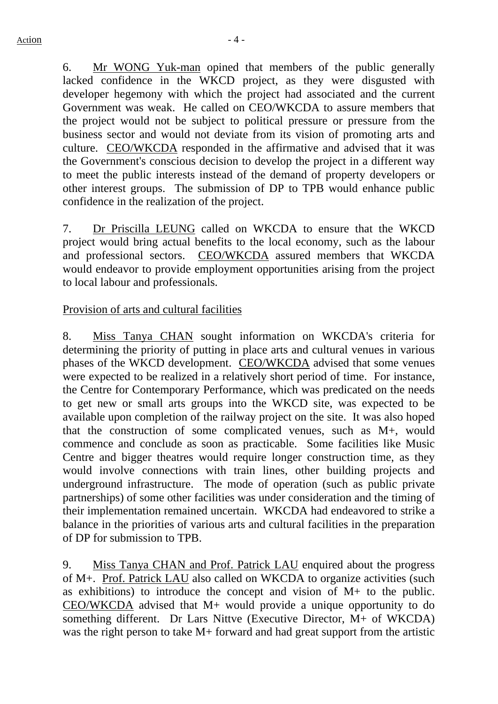6. Mr WONG Yuk-man opined that members of the public generally lacked confidence in the WKCD project, as they were disgusted with developer hegemony with which the project had associated and the current Government was weak. He called on CEO/WKCDA to assure members that the project would not be subject to political pressure or pressure from the business sector and would not deviate from its vision of promoting arts and culture. CEO/WKCDA responded in the affirmative and advised that it was the Government's conscious decision to develop the project in a different way to meet the public interests instead of the demand of property developers or other interest groups. The submission of DP to TPB would enhance public confidence in the realization of the project.

7. Dr Priscilla LEUNG called on WKCDA to ensure that the WKCD project would bring actual benefits to the local economy, such as the labour and professional sectors. CEO/WKCDA assured members that WKCDA would endeavor to provide employment opportunities arising from the project to local labour and professionals.

#### Provision of arts and cultural facilities

8. Miss Tanya CHAN sought information on WKCDA's criteria for determining the priority of putting in place arts and cultural venues in various phases of the WKCD development. CEO/WKCDA advised that some venues were expected to be realized in a relatively short period of time. For instance, the Centre for Contemporary Performance, which was predicated on the needs to get new or small arts groups into the WKCD site, was expected to be available upon completion of the railway project on the site. It was also hoped that the construction of some complicated venues, such as M+, would commence and conclude as soon as practicable. Some facilities like Music Centre and bigger theatres would require longer construction time, as they would involve connections with train lines, other building projects and underground infrastructure. The mode of operation (such as public private partnerships) of some other facilities was under consideration and the timing of their implementation remained uncertain. WKCDA had endeavored to strike a balance in the priorities of various arts and cultural facilities in the preparation of DP for submission to TPB.

9. Miss Tanya CHAN and Prof. Patrick LAU enquired about the progress of M+. Prof. Patrick LAU also called on WKCDA to organize activities (such as exhibitions) to introduce the concept and vision of  $M<sub>+</sub>$  to the public. CEO/WKCDA advised that M+ would provide a unique opportunity to do something different. Dr Lars Nittve (Executive Director, M+ of WKCDA) was the right person to take M+ forward and had great support from the artistic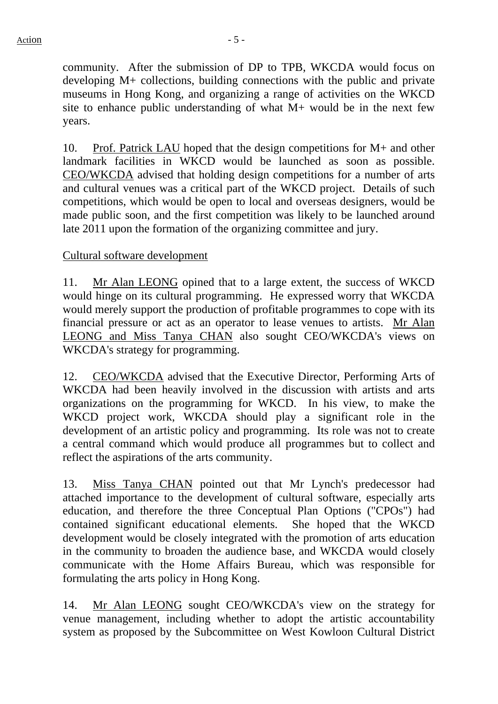community. After the submission of DP to TPB, WKCDA would focus on developing M+ collections, building connections with the public and private museums in Hong Kong, and organizing a range of activities on the WKCD site to enhance public understanding of what M+ would be in the next few years.

10. Prof. Patrick LAU hoped that the design competitions for M+ and other landmark facilities in WKCD would be launched as soon as possible. CEO/WKCDA advised that holding design competitions for a number of arts and cultural venues was a critical part of the WKCD project. Details of such competitions, which would be open to local and overseas designers, would be made public soon, and the first competition was likely to be launched around late 2011 upon the formation of the organizing committee and jury.

#### Cultural software development

11. Mr Alan LEONG opined that to a large extent, the success of WKCD would hinge on its cultural programming. He expressed worry that WKCDA would merely support the production of profitable programmes to cope with its financial pressure or act as an operator to lease venues to artists. Mr Alan LEONG and Miss Tanya CHAN also sought CEO/WKCDA's views on WKCDA's strategy for programming.

12. CEO/WKCDA advised that the Executive Director, Performing Arts of WKCDA had been heavily involved in the discussion with artists and arts organizations on the programming for WKCD. In his view, to make the WKCD project work, WKCDA should play a significant role in the development of an artistic policy and programming. Its role was not to create a central command which would produce all programmes but to collect and reflect the aspirations of the arts community.

13. Miss Tanya CHAN pointed out that Mr Lynch's predecessor had attached importance to the development of cultural software, especially arts education, and therefore the three Conceptual Plan Options ("CPOs") had contained significant educational elements. She hoped that the WKCD development would be closely integrated with the promotion of arts education in the community to broaden the audience base, and WKCDA would closely communicate with the Home Affairs Bureau, which was responsible for formulating the arts policy in Hong Kong.

14. Mr Alan LEONG sought CEO/WKCDA's view on the strategy for venue management, including whether to adopt the artistic accountability system as proposed by the Subcommittee on West Kowloon Cultural District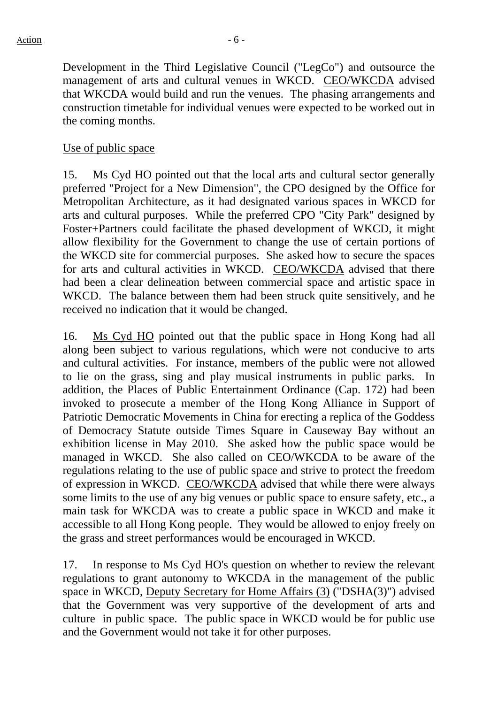Development in the Third Legislative Council ("LegCo") and outsource the management of arts and cultural venues in WKCD. CEO/WKCDA advised that WKCDA would build and run the venues. The phasing arrangements and construction timetable for individual venues were expected to be worked out in the coming months.

#### Use of public space

15. Ms Cyd HO pointed out that the local arts and cultural sector generally preferred "Project for a New Dimension", the CPO designed by the Office for Metropolitan Architecture, as it had designated various spaces in WKCD for arts and cultural purposes. While the preferred CPO "City Park" designed by Foster+Partners could facilitate the phased development of WKCD, it might allow flexibility for the Government to change the use of certain portions of the WKCD site for commercial purposes. She asked how to secure the spaces for arts and cultural activities in WKCD. CEO/WKCDA advised that there had been a clear delineation between commercial space and artistic space in WKCD. The balance between them had been struck quite sensitively, and he received no indication that it would be changed.

16. Ms Cyd HO pointed out that the public space in Hong Kong had all along been subject to various regulations, which were not conducive to arts and cultural activities. For instance, members of the public were not allowed to lie on the grass, sing and play musical instruments in public parks. In addition, the Places of Public Entertainment Ordinance (Cap. 172) had been invoked to prosecute a member of the Hong Kong Alliance in Support of Patriotic Democratic Movements in China for erecting a replica of the Goddess of Democracy Statute outside Times Square in Causeway Bay without an exhibition license in May 2010. She asked how the public space would be managed in WKCD. She also called on CEO/WKCDA to be aware of the regulations relating to the use of public space and strive to protect the freedom of expression in WKCD. CEO/WKCDA advised that while there were always some limits to the use of any big venues or public space to ensure safety, etc., a main task for WKCDA was to create a public space in WKCD and make it accessible to all Hong Kong people. They would be allowed to enjoy freely on the grass and street performances would be encouraged in WKCD.

17. In response to Ms Cyd HO's question on whether to review the relevant regulations to grant autonomy to WKCDA in the management of the public space in WKCD, Deputy Secretary for Home Affairs (3) ("DSHA(3)") advised that the Government was very supportive of the development of arts and culture in public space. The public space in WKCD would be for public use and the Government would not take it for other purposes.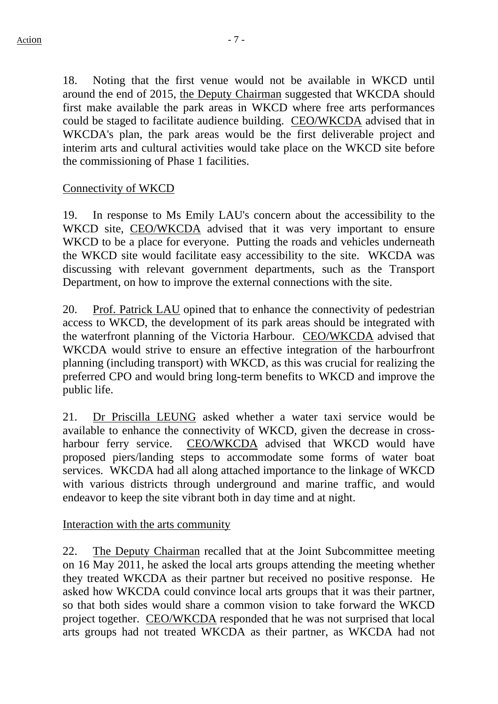18. Noting that the first venue would not be available in WKCD until around the end of 2015, the Deputy Chairman suggested that WKCDA should first make available the park areas in WKCD where free arts performances could be staged to facilitate audience building. CEO/WKCDA advised that in WKCDA's plan, the park areas would be the first deliverable project and interim arts and cultural activities would take place on the WKCD site before the commissioning of Phase 1 facilities.

## Connectivity of WKCD

19. In response to Ms Emily LAU's concern about the accessibility to the WKCD site, CEO/WKCDA advised that it was very important to ensure WKCD to be a place for everyone. Putting the roads and vehicles underneath the WKCD site would facilitate easy accessibility to the site. WKCDA was discussing with relevant government departments, such as the Transport Department, on how to improve the external connections with the site.

20. Prof. Patrick LAU opined that to enhance the connectivity of pedestrian access to WKCD, the development of its park areas should be integrated with the waterfront planning of the Victoria Harbour. CEO/WKCDA advised that WKCDA would strive to ensure an effective integration of the harbourfront planning (including transport) with WKCD, as this was crucial for realizing the preferred CPO and would bring long-term benefits to WKCD and improve the public life.

21. Dr Priscilla LEUNG asked whether a water taxi service would be available to enhance the connectivity of WKCD, given the decrease in crossharbour ferry service. CEO/WKCDA advised that WKCD would have proposed piers/landing steps to accommodate some forms of water boat services. WKCDA had all along attached importance to the linkage of WKCD with various districts through underground and marine traffic, and would endeavor to keep the site vibrant both in day time and at night.

#### Interaction with the arts community

22. The Deputy Chairman recalled that at the Joint Subcommittee meeting on 16 May 2011, he asked the local arts groups attending the meeting whether they treated WKCDA as their partner but received no positive response. He asked how WKCDA could convince local arts groups that it was their partner, so that both sides would share a common vision to take forward the WKCD project together. CEO/WKCDA responded that he was not surprised that local arts groups had not treated WKCDA as their partner, as WKCDA had not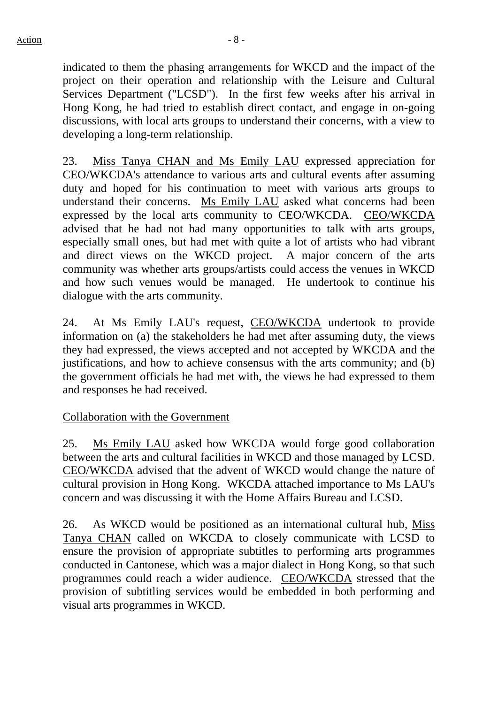indicated to them the phasing arrangements for WKCD and the impact of the project on their operation and relationship with the Leisure and Cultural Services Department ("LCSD"). In the first few weeks after his arrival in Hong Kong, he had tried to establish direct contact, and engage in on-going discussions, with local arts groups to understand their concerns, with a view to developing a long-term relationship.

23. Miss Tanya CHAN and Ms Emily LAU expressed appreciation for CEO/WKCDA's attendance to various arts and cultural events after assuming duty and hoped for his continuation to meet with various arts groups to understand their concerns. Ms Emily LAU asked what concerns had been expressed by the local arts community to CEO/WKCDA. CEO/WKCDA advised that he had not had many opportunities to talk with arts groups, especially small ones, but had met with quite a lot of artists who had vibrant and direct views on the WKCD project. A major concern of the arts community was whether arts groups/artists could access the venues in WKCD and how such venues would be managed. He undertook to continue his dialogue with the arts community.

24. At Ms Emily LAU's request, CEO/WKCDA undertook to provide information on (a) the stakeholders he had met after assuming duty, the views they had expressed, the views accepted and not accepted by WKCDA and the justifications, and how to achieve consensus with the arts community; and (b) the government officials he had met with, the views he had expressed to them and responses he had received.

#### Collaboration with the Government

25. Ms Emily LAU asked how WKCDA would forge good collaboration between the arts and cultural facilities in WKCD and those managed by LCSD. CEO/WKCDA advised that the advent of WKCD would change the nature of cultural provision in Hong Kong. WKCDA attached importance to Ms LAU's concern and was discussing it with the Home Affairs Bureau and LCSD.

26. As WKCD would be positioned as an international cultural hub, Miss Tanya CHAN called on WKCDA to closely communicate with LCSD to ensure the provision of appropriate subtitles to performing arts programmes conducted in Cantonese, which was a major dialect in Hong Kong, so that such programmes could reach a wider audience. CEO/WKCDA stressed that the provision of subtitling services would be embedded in both performing and visual arts programmes in WKCD.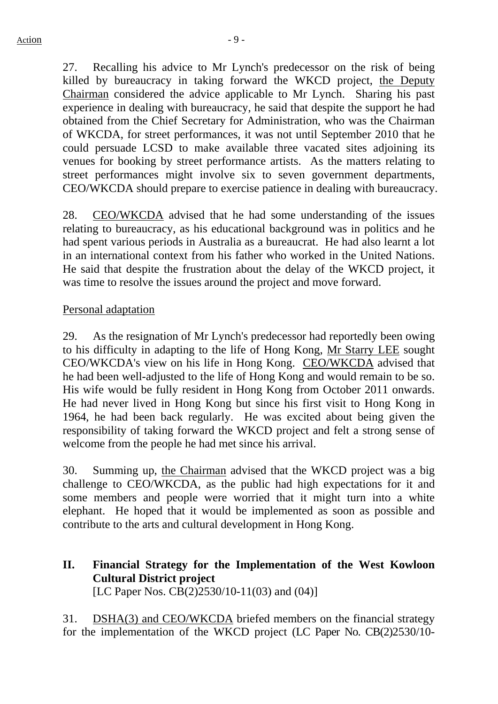27. Recalling his advice to Mr Lynch's predecessor on the risk of being killed by bureaucracy in taking forward the WKCD project, the Deputy Chairman considered the advice applicable to Mr Lynch. Sharing his past experience in dealing with bureaucracy, he said that despite the support he had obtained from the Chief Secretary for Administration, who was the Chairman of WKCDA, for street performances, it was not until September 2010 that he could persuade LCSD to make available three vacated sites adjoining its venues for booking by street performance artists. As the matters relating to street performances might involve six to seven government departments, CEO/WKCDA should prepare to exercise patience in dealing with bureaucracy.

28. CEO/WKCDA advised that he had some understanding of the issues relating to bureaucracy, as his educational background was in politics and he had spent various periods in Australia as a bureaucrat. He had also learnt a lot in an international context from his father who worked in the United Nations. He said that despite the frustration about the delay of the WKCD project, it was time to resolve the issues around the project and move forward.

#### Personal adaptation

29. As the resignation of Mr Lynch's predecessor had reportedly been owing to his difficulty in adapting to the life of Hong Kong, Mr Starry LEE sought CEO/WKCDA's view on his life in Hong Kong. CEO/WKCDA advised that he had been well-adjusted to the life of Hong Kong and would remain to be so. His wife would be fully resident in Hong Kong from October 2011 onwards. He had never lived in Hong Kong but since his first visit to Hong Kong in 1964, he had been back regularly. He was excited about being given the responsibility of taking forward the WKCD project and felt a strong sense of welcome from the people he had met since his arrival.

30. Summing up, the Chairman advised that the WKCD project was a big challenge to CEO/WKCDA, as the public had high expectations for it and some members and people were worried that it might turn into a white elephant. He hoped that it would be implemented as soon as possible and contribute to the arts and cultural development in Hong Kong.

## **II. Financial Strategy for the Implementation of the West Kowloon Cultural District project**  [LC Paper Nos. CB(2)2530/10-11(03) and (04)]

31. DSHA(3) and CEO/WKCDA briefed members on the financial strategy for the implementation of the WKCD project (LC Paper No. CB(2)2530/10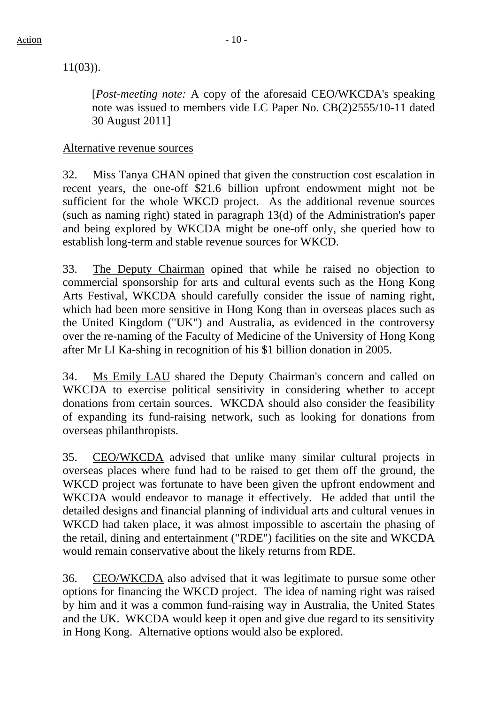11(03)).

[*Post-meeting note:* A copy of the aforesaid CEO/WKCDA's speaking note was issued to members vide LC Paper No. CB(2)2555/10-11 dated 30 August 2011]

#### Alternative revenue sources

32. Miss Tanya CHAN opined that given the construction cost escalation in recent years, the one-off \$21.6 billion upfront endowment might not be sufficient for the whole WKCD project. As the additional revenue sources (such as naming right) stated in paragraph 13(d) of the Administration's paper and being explored by WKCDA might be one-off only, she queried how to establish long-term and stable revenue sources for WKCD.

33. The Deputy Chairman opined that while he raised no objection to commercial sponsorship for arts and cultural events such as the Hong Kong Arts Festival, WKCDA should carefully consider the issue of naming right, which had been more sensitive in Hong Kong than in overseas places such as the United Kingdom ("UK") and Australia, as evidenced in the controversy over the re-naming of the Faculty of Medicine of the University of Hong Kong after Mr LI Ka-shing in recognition of his \$1 billion donation in 2005.

34. Ms Emily LAU shared the Deputy Chairman's concern and called on WKCDA to exercise political sensitivity in considering whether to accept donations from certain sources. WKCDA should also consider the feasibility of expanding its fund-raising network, such as looking for donations from overseas philanthropists.

35. CEO/WKCDA advised that unlike many similar cultural projects in overseas places where fund had to be raised to get them off the ground, the WKCD project was fortunate to have been given the upfront endowment and WKCDA would endeavor to manage it effectively. He added that until the detailed designs and financial planning of individual arts and cultural venues in WKCD had taken place, it was almost impossible to ascertain the phasing of the retail, dining and entertainment ("RDE") facilities on the site and WKCDA would remain conservative about the likely returns from RDE.

36. CEO/WKCDA also advised that it was legitimate to pursue some other options for financing the WKCD project. The idea of naming right was raised by him and it was a common fund-raising way in Australia, the United States and the UK. WKCDA would keep it open and give due regard to its sensitivity in Hong Kong. Alternative options would also be explored.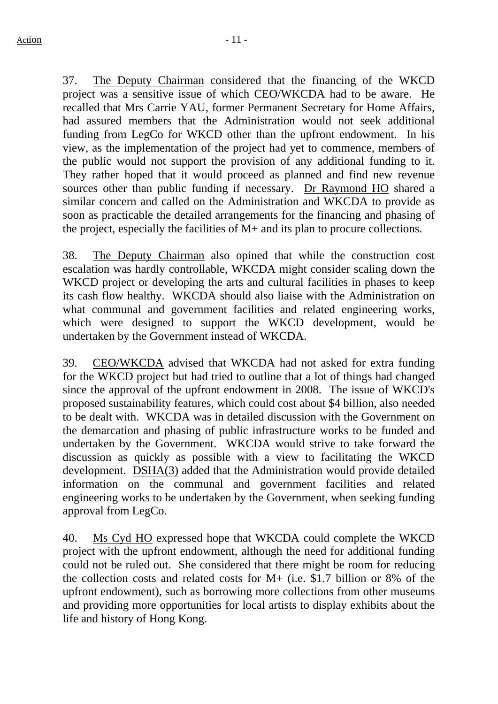37. The Deputy Chairman considered that the financing of the WKCD project was a sensitive issue of which CEO/WKCDA had to be aware. He recalled that Mrs Carrie YAU, former Permanent Secretary for Home Affairs, had assured members that the Administration would not seek additional funding from LegCo for WKCD other than the upfront endowment. In his view, as the implementation of the project had yet to commence, members of the public would not support the provision of any additional funding to it. They rather hoped that it would proceed as planned and find new revenue sources other than public funding if necessary. Dr Raymond HO shared a similar concern and called on the Administration and WKCDA to provide as soon as practicable the detailed arrangements for the financing and phasing of the project, especially the facilities of M+ and its plan to procure collections.

38. The Deputy Chairman also opined that while the construction cost escalation was hardly controllable, WKCDA might consider scaling down the WKCD project or developing the arts and cultural facilities in phases to keep its cash flow healthy. WKCDA should also liaise with the Administration on what communal and government facilities and related engineering works, which were designed to support the WKCD development, would be undertaken by the Government instead of WKCDA.

39. CEO/WKCDA advised that WKCDA had not asked for extra funding for the WKCD project but had tried to outline that a lot of things had changed since the approval of the upfront endowment in 2008. The issue of WKCD's proposed sustainability features, which could cost about \$4 billion, also needed to be dealt with. WKCDA was in detailed discussion with the Government on the demarcation and phasing of public infrastructure works to be funded and undertaken by the Government. WKCDA would strive to take forward the discussion as quickly as possible with a view to facilitating the WKCD development. DSHA(3) added that the Administration would provide detailed information on the communal and government facilities and related engineering works to be undertaken by the Government, when seeking funding approval from LegCo.

40. Ms Cyd HO expressed hope that WKCDA could complete the WKCD project with the upfront endowment, although the need for additional funding could not be ruled out. She considered that there might be room for reducing the collection costs and related costs for M+ (i.e. \$1.7 billion or 8% of the upfront endowment), such as borrowing more collections from other museums and providing more opportunities for local artists to display exhibits about the life and history of Hong Kong.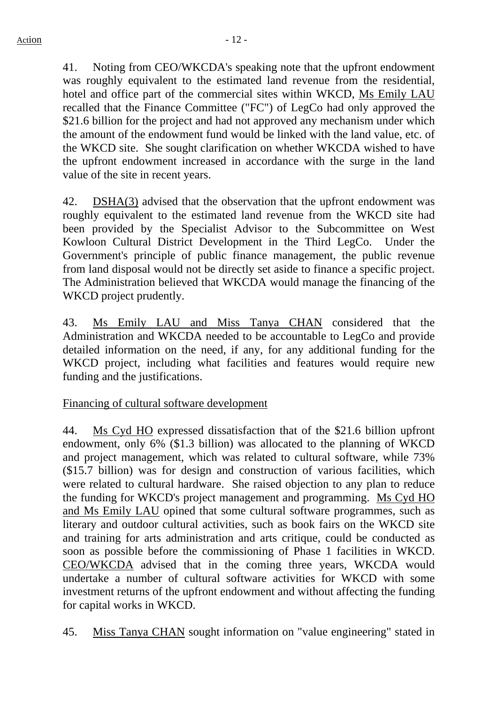41. Noting from CEO/WKCDA's speaking note that the upfront endowment was roughly equivalent to the estimated land revenue from the residential, hotel and office part of the commercial sites within WKCD, Ms Emily LAU recalled that the Finance Committee ("FC") of LegCo had only approved the \$21.6 billion for the project and had not approved any mechanism under which the amount of the endowment fund would be linked with the land value, etc. of the WKCD site. She sought clarification on whether WKCDA wished to have the upfront endowment increased in accordance with the surge in the land value of the site in recent years.

42. DSHA(3) advised that the observation that the upfront endowment was roughly equivalent to the estimated land revenue from the WKCD site had been provided by the Specialist Advisor to the Subcommittee on West Kowloon Cultural District Development in the Third LegCo. Under the Government's principle of public finance management, the public revenue from land disposal would not be directly set aside to finance a specific project. The Administration believed that WKCDA would manage the financing of the WKCD project prudently.

43. Ms Emily LAU and Miss Tanya CHAN considered that the Administration and WKCDA needed to be accountable to LegCo and provide detailed information on the need, if any, for any additional funding for the WKCD project, including what facilities and features would require new funding and the justifications.

# Financing of cultural software development

44. Ms Cyd HO expressed dissatisfaction that of the \$21.6 billion upfront endowment, only 6% (\$1.3 billion) was allocated to the planning of WKCD and project management, which was related to cultural software, while 73% (\$15.7 billion) was for design and construction of various facilities, which were related to cultural hardware. She raised objection to any plan to reduce the funding for WKCD's project management and programming. Ms Cyd HO and Ms Emily LAU opined that some cultural software programmes, such as literary and outdoor cultural activities, such as book fairs on the WKCD site and training for arts administration and arts critique, could be conducted as soon as possible before the commissioning of Phase 1 facilities in WKCD. CEO/WKCDA advised that in the coming three years, WKCDA would undertake a number of cultural software activities for WKCD with some investment returns of the upfront endowment and without affecting the funding for capital works in WKCD.

45. Miss Tanya CHAN sought information on "value engineering" stated in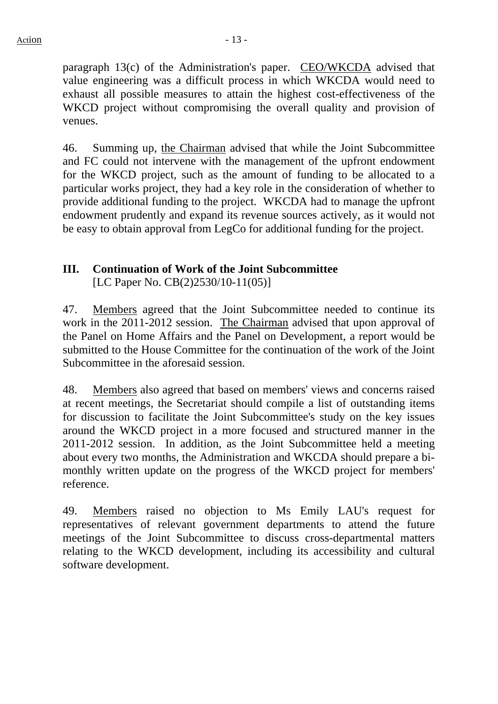paragraph 13(c) of the Administration's paper. CEO/WKCDA advised that value engineering was a difficult process in which WKCDA would need to exhaust all possible measures to attain the highest cost-effectiveness of the WKCD project without compromising the overall quality and provision of venues.

46. Summing up, the Chairman advised that while the Joint Subcommittee and FC could not intervene with the management of the upfront endowment for the WKCD project, such as the amount of funding to be allocated to a particular works project, they had a key role in the consideration of whether to provide additional funding to the project. WKCDA had to manage the upfront endowment prudently and expand its revenue sources actively, as it would not be easy to obtain approval from LegCo for additional funding for the project.

# **III. Continuation of Work of the Joint Subcommittee**

[LC Paper No. CB(2)2530/10-11(05)]

47. Members agreed that the Joint Subcommittee needed to continue its work in the 2011-2012 session. The Chairman advised that upon approval of the Panel on Home Affairs and the Panel on Development, a report would be submitted to the House Committee for the continuation of the work of the Joint Subcommittee in the aforesaid session.

48. Members also agreed that based on members' views and concerns raised at recent meetings, the Secretariat should compile a list of outstanding items for discussion to facilitate the Joint Subcommittee's study on the key issues around the WKCD project in a more focused and structured manner in the 2011-2012 session. In addition, as the Joint Subcommittee held a meeting about every two months, the Administration and WKCDA should prepare a bimonthly written update on the progress of the WKCD project for members' reference.

49. Members raised no objection to Ms Emily LAU's request for representatives of relevant government departments to attend the future meetings of the Joint Subcommittee to discuss cross-departmental matters relating to the WKCD development, including its accessibility and cultural software development.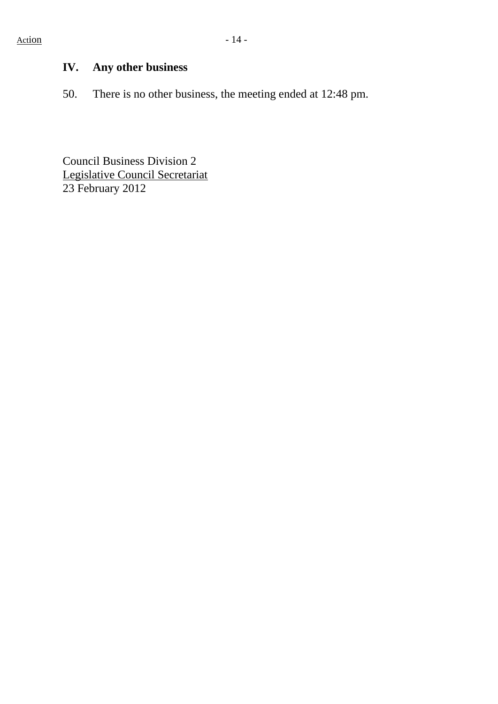# **IV. Any other business**

50. There is no other business, the meeting ended at 12:48 pm.

Council Business Division 2 Legislative Council Secretariat 23 February 2012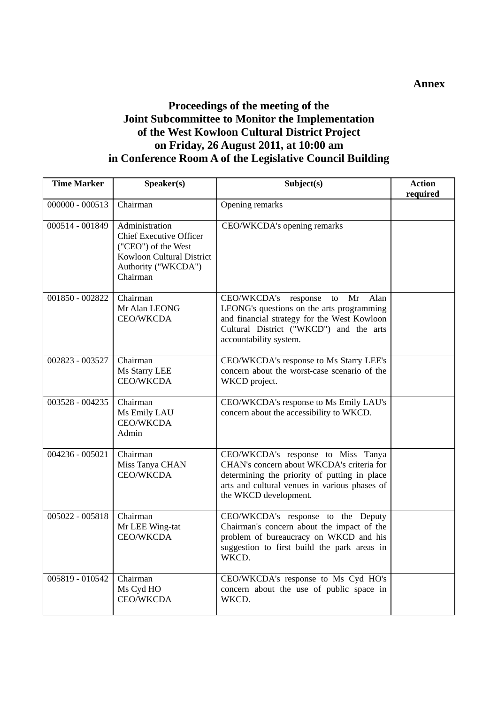#### **Annex**

#### **Proceedings of the meeting of the Joint Subcommittee to Monitor the Implementation of the West Kowloon Cultural District Project on Friday, 26 August 2011, at 10:00 am in Conference Room A of the Legislative Council Building**

| <b>Time Marker</b> | Speaker(s)                                                                                                                              | Subject(s)                                                                                                                                                                                                | <b>Action</b><br>required |
|--------------------|-----------------------------------------------------------------------------------------------------------------------------------------|-----------------------------------------------------------------------------------------------------------------------------------------------------------------------------------------------------------|---------------------------|
| $000000 - 000513$  | Chairman                                                                                                                                | Opening remarks                                                                                                                                                                                           |                           |
| 000514 - 001849    | Administration<br><b>Chief Executive Officer</b><br>("CEO") of the West<br>Kowloon Cultural District<br>Authority ("WKCDA")<br>Chairman | CEO/WKCDA's opening remarks                                                                                                                                                                               |                           |
| 001850 - 002822    | Chairman<br>Mr Alan LEONG<br><b>CEO/WKCDA</b>                                                                                           | CEO/WKCDA's response<br>Mr<br>Alan<br>to<br>LEONG's questions on the arts programming<br>and financial strategy for the West Kowloon<br>Cultural District ("WKCD") and the arts<br>accountability system. |                           |
| 002823 - 003527    | Chairman<br>Ms Starry LEE<br><b>CEO/WKCDA</b>                                                                                           | CEO/WKCDA's response to Ms Starry LEE's<br>concern about the worst-case scenario of the<br>WKCD project.                                                                                                  |                           |
| 003528 - 004235    | Chairman<br>Ms Emily LAU<br><b>CEO/WKCDA</b><br>Admin                                                                                   | CEO/WKCDA's response to Ms Emily LAU's<br>concern about the accessibility to WKCD.                                                                                                                        |                           |
| 004236 - 005021    | Chairman<br>Miss Tanya CHAN<br><b>CEO/WKCDA</b>                                                                                         | CEO/WKCDA's response to Miss Tanya<br>CHAN's concern about WKCDA's criteria for<br>determining the priority of putting in place<br>arts and cultural venues in various phases of<br>the WKCD development. |                           |
| 005022 - 005818    | Chairman<br>Mr LEE Wing-tat<br><b>CEO/WKCDA</b>                                                                                         | CEO/WKCDA's response to the Deputy<br>Chairman's concern about the impact of the<br>problem of bureaucracy on WKCD and his<br>suggestion to first build the park areas in<br>WKCD.                        |                           |
| 005819 - 010542    | Chairman<br>Ms Cyd HO<br><b>CEO/WKCDA</b>                                                                                               | CEO/WKCDA's response to Ms Cyd HO's<br>concern about the use of public space in<br>WKCD.                                                                                                                  |                           |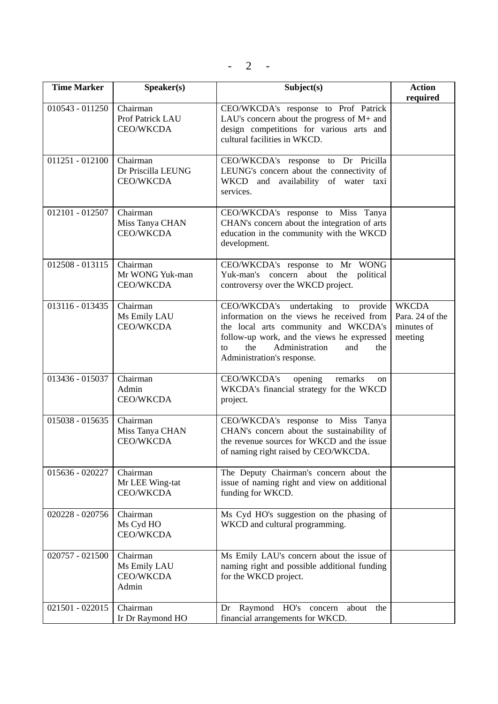| <b>Time Marker</b> | Speaker(s)                                         | Subject(s)                                                                                                                                                                                                                                       | <b>Action</b><br>required                                |
|--------------------|----------------------------------------------------|--------------------------------------------------------------------------------------------------------------------------------------------------------------------------------------------------------------------------------------------------|----------------------------------------------------------|
| 010543 - 011250    | Chairman<br>Prof Patrick LAU<br><b>CEO/WKCDA</b>   | CEO/WKCDA's response to Prof Patrick<br>LAU's concern about the progress of $M$ + and<br>design competitions for various arts and<br>cultural facilities in WKCD.                                                                                |                                                          |
| $011251 - 012100$  | Chairman<br>Dr Priscilla LEUNG<br><b>CEO/WKCDA</b> | CEO/WKCDA's response to Dr Pricilla<br>LEUNG's concern about the connectivity of<br>WKCD and availability of water taxi<br>services.                                                                                                             |                                                          |
| 012101 - 012507    | Chairman<br>Miss Tanya CHAN<br>CEO/WKCDA           | CEO/WKCDA's response to Miss Tanya<br>CHAN's concern about the integration of arts<br>education in the community with the WKCD<br>development.                                                                                                   |                                                          |
| 012508 - 013115    | Chairman<br>Mr WONG Yuk-man<br><b>CEO/WKCDA</b>    | CEO/WKCDA's response to Mr WONG<br>Yuk-man's concern about the political<br>controversy over the WKCD project.                                                                                                                                   |                                                          |
| 013116 - 013435    | Chairman<br>Ms Emily LAU<br><b>CEO/WKCDA</b>       | CEO/WKCDA's undertaking to provide<br>information on the views he received from<br>the local arts community and WKCDA's<br>follow-up work, and the views he expressed<br>the<br>Administration<br>and<br>to<br>the<br>Administration's response. | <b>WKCDA</b><br>Para. 24 of the<br>minutes of<br>meeting |
| 013436 - 015037    | Chairman<br>Admin<br><b>CEO/WKCDA</b>              | opening<br>CEO/WKCDA's<br>remarks<br>on<br>WKCDA's financial strategy for the WKCD<br>project.                                                                                                                                                   |                                                          |
| 015038 - 015635    | Chairman<br>Miss Tanya CHAN<br><b>CEO/WKCDA</b>    | CEO/WKCDA's response to Miss Tanya<br>CHAN's concern about the sustainability of<br>the revenue sources for WKCD and the issue<br>of naming right raised by CEO/WKCDA.                                                                           |                                                          |
| 015636 - 020227    | Chairman<br>Mr LEE Wing-tat<br>CEO/WKCDA           | The Deputy Chairman's concern about the<br>issue of naming right and view on additional<br>funding for WKCD.                                                                                                                                     |                                                          |
| 020228 - 020756    | Chairman<br>Ms Cyd HO<br>CEO/WKCDA                 | Ms Cyd HO's suggestion on the phasing of<br>WKCD and cultural programming.                                                                                                                                                                       |                                                          |
| 020757 - 021500    | Chairman<br>Ms Emily LAU<br>CEO/WKCDA<br>Admin     | Ms Emily LAU's concern about the issue of<br>naming right and possible additional funding<br>for the WKCD project.                                                                                                                               |                                                          |
| 021501 - 022015    | Chairman<br>Ir Dr Raymond HO                       | Dr Raymond HO's concern<br>about the<br>financial arrangements for WKCD.                                                                                                                                                                         |                                                          |